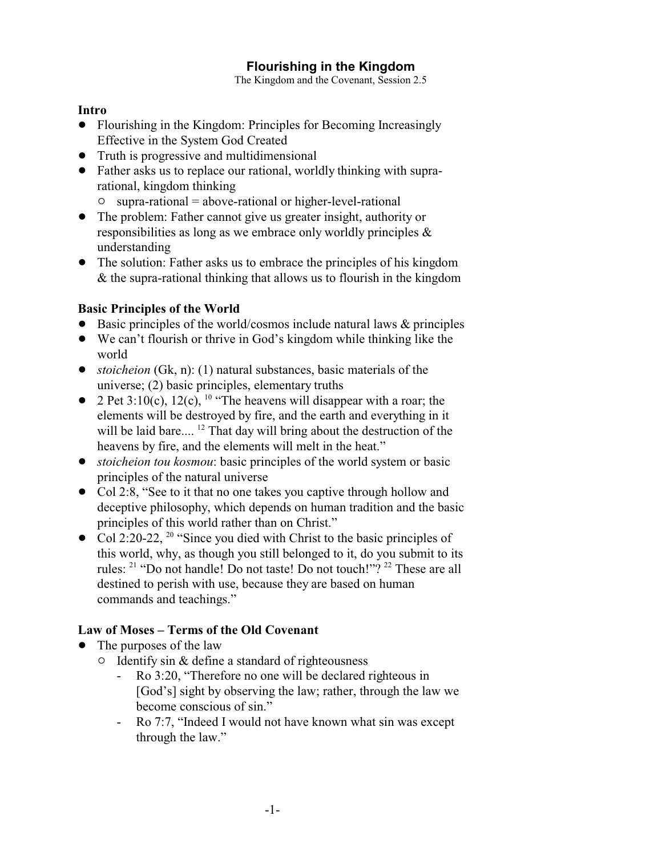# **Flourishing in the Kingdom**

The Kingdom and the Covenant, Session 2.5

#### **Intro**

- ! Flourishing in the Kingdom: Principles for Becoming Increasingly Effective in the System God Created
- Truth is progressive and multidimensional
- ! Father asks us to replace our rational, worldly thinking with suprarational, kingdom thinking
	- $\circ$  supra-rational = above-rational or higher-level-rational
- The problem: Father cannot give us greater insight, authority or responsibilities as long as we embrace only worldly principles & understanding
- The solution: Father asks us to embrace the principles of his kingdom & the supra-rational thinking that allows us to flourish in the kingdom

### **Basic Principles of the World**

- $\bullet$  Basic principles of the world/cosmos include natural laws  $\&$  principles
- We can't flourish or thrive in God's kingdom while thinking like the world
- *stoicheion* (Gk, n): (1) natural substances, basic materials of the universe; (2) basic principles, elementary truths
- 2 Pet 3:10(c), 12(c), <sup>10</sup> "The heavens will disappear with a roar; the elements will be destroyed by fire, and the earth and everything in it will be laid bare....<sup>12</sup> That day will bring about the destruction of the heavens by fire, and the elements will melt in the heat."
- ! *stoicheion tou kosmou*: basic principles of the world system or basic principles of the natural universe
- Col 2:8, "See to it that no one takes you captive through hollow and deceptive philosophy, which depends on human tradition and the basic principles of this world rather than on Christ."
- Col 2:20-22,  $^{20}$  "Since you died with Christ to the basic principles of this world, why, as though you still belonged to it, do you submit to its rules: <sup>21</sup> "Do not handle! Do not taste! Do not touch!"? <sup>22</sup> These are all destined to perish with use, because they are based on human commands and teachings."

## **Law of Moses – Terms of the Old Covenant**

- The purposes of the law
	- $\circ$  Identify sin & define a standard of righteousness
		- Ro 3:20, "Therefore no one will be declared righteous in [God's] sight by observing the law; rather, through the law we become conscious of sin."
		- Ro 7:7, "Indeed I would not have known what sin was except through the law."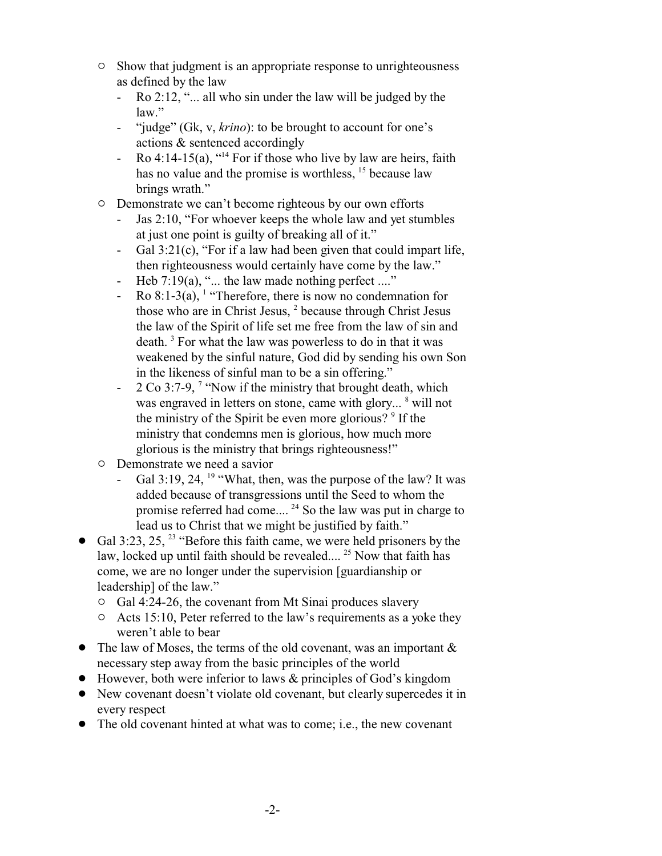- $\circ$  Show that judgment is an appropriate response to unrighteousness as defined by the law
	- Ro 2:12, "... all who sin under the law will be judged by the law."
	- "judge" (Gk, v, *krino*): to be brought to account for one's actions & sentenced accordingly
	- Ro 4:14-15(a),  $^{414}$  For if those who live by law are heirs, faith has no value and the promise is worthless, <sup>15</sup> because law brings wrath."
- <sup> $\circ$ </sup> Demonstrate we can't become righteous by our own efforts
	- Jas 2:10, "For whoever keeps the whole law and yet stumbles" at just one point is guilty of breaking all of it."
	- Gal 3:21(c), "For if a law had been given that could impart life, then righteousness would certainly have come by the law."
	- Heb 7:19(a), "... the law made nothing perfect ...."
	- Ro  $8:1-3(a)$ , <sup>1</sup> "Therefore, there is now no condemnation for those who are in Christ Jesus, <sup>2</sup> because through Christ Jesus the law of the Spirit of life set me free from the law of sin and death. <sup>3</sup> For what the law was powerless to do in that it was weakened by the sinful nature, God did by sending his own Son in the likeness of sinful man to be a sin offering."
	- $2 \text{Co } 3:7$ -9,  $\frac{7}{1}$  "Now if the ministry that brought death, which was engraved in letters on stone, came with glory... <sup>8</sup> will not the ministry of the Spirit be even more glorious? <sup>9</sup> If the ministry that condemns men is glorious, how much more glorious is the ministry that brings righteousness!"
- $\circ$  Demonstrate we need a savior
	- Gal 3:19, 24,  $19$  "What, then, was the purpose of the law? It was added because of transgressions until the Seed to whom the promise referred had come....<sup>24</sup> So the law was put in charge to lead us to Christ that we might be justified by faith."
- Gal 3:23, 25,  $^{23}$  "Before this faith came, we were held prisoners by the law, locked up until faith should be revealed....<sup>25</sup> Now that faith has come, we are no longer under the supervision [guardianship or leadership] of the law."
	- $\circ$  Gal 4:24-26, the covenant from Mt Sinai produces slavery
	- $\circ$  Acts 15:10, Peter referred to the law's requirements as a yoke they weren't able to bear
- The law of Moses, the terms of the old covenant, was an important  $\&$ necessary step away from the basic principles of the world
- ! However, both were inferior to laws & principles of God's kingdom
- New covenant doesn't violate old covenant, but clearly supercedes it in every respect
- The old covenant hinted at what was to come; i.e., the new covenant